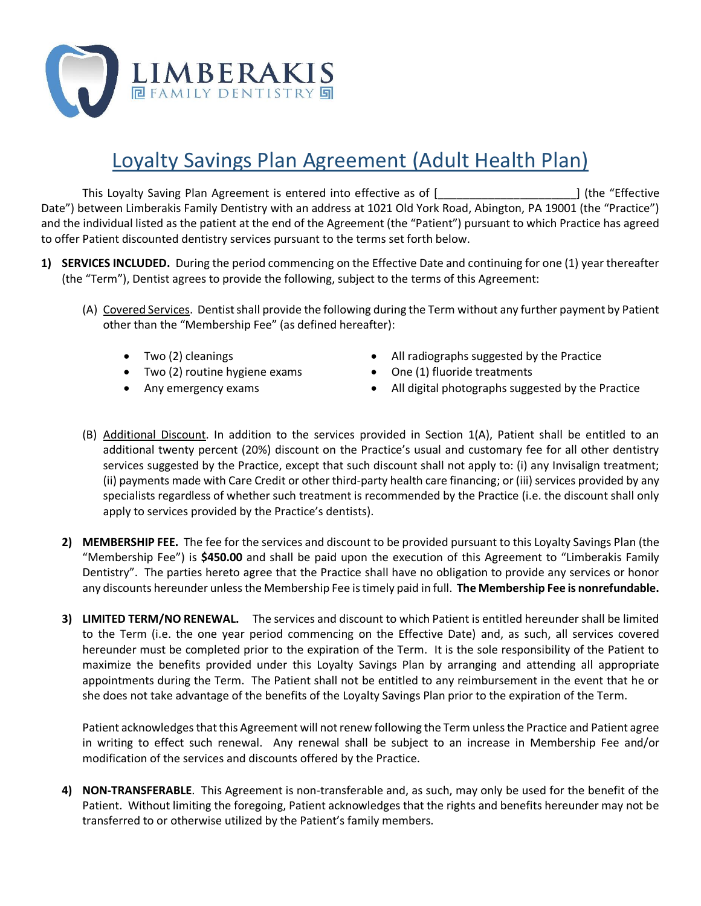

## Loyalty Savings Plan Agreement (Adult Health Plan)

This Loyalty Saving Plan Agreement is entered into effective as of [\_\_\_\_\_\_\_\_\_\_\_\_\_\_\_\_\_\_\_\_\_\_] (the "Effective Date") between Limberakis Family Dentistry with an address at 1021 Old York Road, Abington, PA 19001 (the "Practice") and the individual listed as the patient at the end of the Agreement (the "Patient") pursuant to which Practice has agreed to offer Patient discounted dentistry services pursuant to the terms set forth below.

- **1) SERVICES INCLUDED.** During the period commencing on the Effective Date and continuing for one (1) year thereafter (the "Term"), Dentist agrees to provide the following, subject to the terms of this Agreement:
	- (A) Covered Services. Dentist shall provide the following during the Term without any further payment by Patient other than the "Membership Fee" (as defined hereafter):
		- Two (2) cleanings
		- Two (2) routine hygiene exams
		- Any emergency exams
- All radiographs suggested by the Practice
- One (1) fluoride treatments
- All digital photographs suggested by the Practice
- (B) Additional Discount. In addition to the services provided in Section 1(A), Patient shall be entitled to an additional twenty percent (20%) discount on the Practice's usual and customary fee for all other dentistry services suggested by the Practice, except that such discount shall not apply to: (i) any Invisalign treatment; (ii) payments made with Care Credit or other third-party health care financing; or (iii) services provided by any specialists regardless of whether such treatment is recommended by the Practice (i.e. the discount shall only apply to services provided by the Practice's dentists).
- **2) MEMBERSHIP FEE.** The fee for the services and discount to be provided pursuant to this Loyalty Savings Plan (the "Membership Fee") is **\$450.00** and shall be paid upon the execution of this Agreement to "Limberakis Family Dentistry". The parties hereto agree that the Practice shall have no obligation to provide any services or honor any discounts hereunder unless the Membership Fee is timely paid in full. **The Membership Fee is nonrefundable.**
- **3) LIMITED TERM/NO RENEWAL.** The services and discount to which Patient is entitled hereunder shall be limited to the Term (i.e. the one year period commencing on the Effective Date) and, as such, all services covered hereunder must be completed prior to the expiration of the Term. It is the sole responsibility of the Patient to maximize the benefits provided under this Loyalty Savings Plan by arranging and attending all appropriate appointments during the Term. The Patient shall not be entitled to any reimbursement in the event that he or she does not take advantage of the benefits of the Loyalty Savings Plan prior to the expiration of the Term.

Patient acknowledges that this Agreement will not renew following the Term unless the Practice and Patient agree in writing to effect such renewal. Any renewal shall be subject to an increase in Membership Fee and/or modification of the services and discounts offered by the Practice.

**4) NON-TRANSFERABLE**. This Agreement is non-transferable and, as such, may only be used for the benefit of the Patient. Without limiting the foregoing, Patient acknowledges that the rights and benefits hereunder may not be transferred to or otherwise utilized by the Patient's family members.